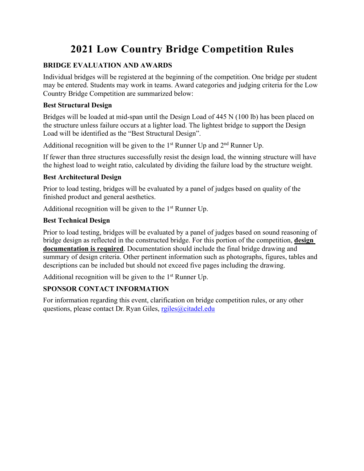# **2021 Low Country Bridge Competition Rules**

#### **BRIDGE EVALUATION AND AWARDS**

Individual bridges will be registered at the beginning of the competition. One bridge per student may be entered. Students may work in teams. Award categories and judging criteria for the Low Country Bridge Competition are summarized below:

#### **Best Structural Design**

Bridges will be loaded at mid-span until the Design Load of 445 N (100 lb) has been placed on the structure unless failure occurs at a lighter load. The lightest bridge to support the Design Load will be identified as the "Best Structural Design".

Additional recognition will be given to the  $1<sup>st</sup>$  Runner Up and  $2<sup>nd</sup>$  Runner Up.

If fewer than three structures successfully resist the design load, the winning structure will have the highest load to weight ratio, calculated by dividing the failure load by the structure weight.

#### **Best Architectural Design**

Prior to load testing, bridges will be evaluated by a panel of judges based on quality of the finished product and general aesthetics.

Additional recognition will be given to the  $1<sup>st</sup>$  Runner Up.

#### **Best Technical Design**

Prior to load testing, bridges will be evaluated by a panel of judges based on sound reasoning of bridge design as reflected in the constructed bridge. For this portion of the competition, **design documentation is required**. Documentation should include the final bridge drawing and summary of design criteria. Other pertinent information such as photographs, figures, tables and descriptions can be included but should not exceed five pages including the drawing.

Additional recognition will be given to the 1<sup>st</sup> Runner Up.

#### **SPONSOR CONTACT INFORMATION**

For information regarding this event, clarification on bridge competition rules, or any other questions, please contact Dr. Ryan Giles, rgiles@citadel.edu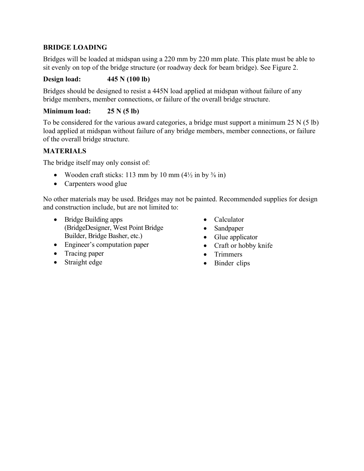### **BRIDGE LOADING**

Bridges will be loaded at midspan using a 220 mm by 220 mm plate. This plate must be able to sit evenly on top of the bridge structure (or roadway deck for beam bridge). See Figure 2.

#### **Design load: 445 N (100 lb)**

Bridges should be designed to resist a 445N load applied at midspan without failure of any bridge members, member connections, or failure of the overall bridge structure.

**Minimum load: 25 N (5 lb)**

To be considered for the various award categories, a bridge must support a minimum 25 N (5 lb) load applied at midspan without failure of any bridge members, member connections, or failure of the overall bridge structure.

#### **MATERIALS**

The bridge itself may only consist of:

- Wooden craft sticks: 113 mm by 10 mm  $(4\frac{1}{2}$  in by  $\frac{3}{8}$  in)
- Carpenters wood glue

No other materials may be used. Bridges may not be painted. Recommended supplies for design and construction include, but are not limited to:

- Bridge Building apps (BridgeDesigner, West Point Bridge Builder, Bridge Basher, etc.)
- Engineer's computation paper
- Tracing paper
- Straight edge
- Calculator
- Sandpaper
- Glue applicator
- Craft or hobby knife
- **Trimmers**
- Binder clips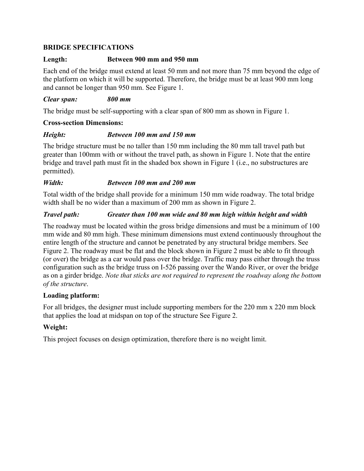#### **BRIDGE SPECIFICATIONS**

#### **Length: Between 900 mm and 950 mm**

Each end of the bridge must extend at least 50 mm and not more than 75 mm beyond the edge of the platform on which it will be supported. Therefore, the bridge must be at least 900 mm long and cannot be longer than 950 mm. See Figure 1.

#### *Clear span: 800 mm*

The bridge must be self-supporting with a clear span of 800 mm as shown in Figure 1.

#### **Cross-section Dimensions:**

#### *Height: Between 100 mm and 150 mm*

The bridge structure must be no taller than 150 mm including the 80 mm tall travel path but greater than 100mm with or without the travel path, as shown in Figure 1. Note that the entire bridge and travel path must fit in the shaded box shown in Figure 1 (i.e., no substructures are permitted).

#### *Width: Between 100 mm and 200 mm*

Total width of the bridge shall provide for a minimum 150 mm wide roadway. The total bridge width shall be no wider than a maximum of 200 mm as shown in Figure 2.

#### *Travel path: Greater than 100 mm wide and 80 mm high within height and width*

The roadway must be located within the gross bridge dimensions and must be a minimum of 100 mm wide and 80 mm high. These minimum dimensions must extend continuously throughout the entire length of the structure and cannot be penetrated by any structural bridge members. See Figure 2. The roadway must be flat and the block shown in Figure 2 must be able to fit through (or over) the bridge as a car would pass over the bridge. Traffic may pass either through the truss configuration such as the bridge truss on I-526 passing over the Wando River, or over the bridge as on a girder bridge. *Note that sticks are not required to represent the roadway along the bottom of the structure*.

#### **Loading platform:**

For all bridges, the designer must include supporting members for the 220 mm x 220 mm block that applies the load at midspan on top of the structure See Figure 2.

# **Weight:**

This project focuses on design optimization, therefore there is no weight limit.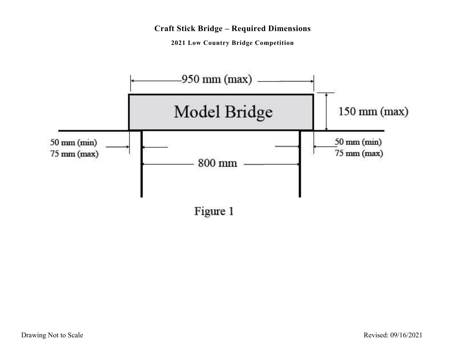# **Craft Stick Bridge – Required Dimensions**

**2021 Low Country Bridge Competition**